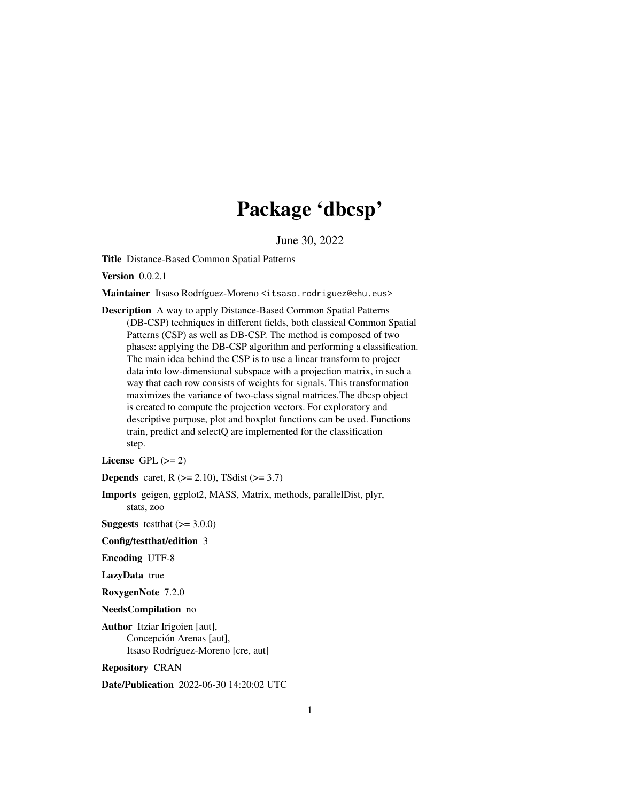## Package 'dbcsp'

June 30, 2022

<span id="page-0-0"></span>Title Distance-Based Common Spatial Patterns

**Version** 0.0.2.1

Maintainer Itsaso Rodríguez-Moreno <itsaso.rodriguez@ehu.eus>

Description A way to apply Distance-Based Common Spatial Patterns (DB-CSP) techniques in different fields, both classical Common Spatial Patterns (CSP) as well as DB-CSP. The method is composed of two phases: applying the DB-CSP algorithm and performing a classification. The main idea behind the CSP is to use a linear transform to project data into low-dimensional subspace with a projection matrix, in such a way that each row consists of weights for signals. This transformation maximizes the variance of two-class signal matrices.The dbcsp object is created to compute the projection vectors. For exploratory and descriptive purpose, plot and boxplot functions can be used. Functions train, predict and selectQ are implemented for the classification step.

License GPL  $(>= 2)$ 

**Depends** caret,  $R$  ( $>= 2.10$ ), TSdist ( $>= 3.7$ )

Imports geigen, ggplot2, MASS, Matrix, methods, parallelDist, plyr, stats, zoo

**Suggests** test that  $(>= 3.0.0)$ 

Config/testthat/edition 3

Encoding UTF-8

LazyData true

RoxygenNote 7.2.0

NeedsCompilation no

Author Itziar Irigoien [aut], Concepción Arenas [aut], Itsaso Rodríguez-Moreno [cre, aut]

Repository CRAN

Date/Publication 2022-06-30 14:20:02 UTC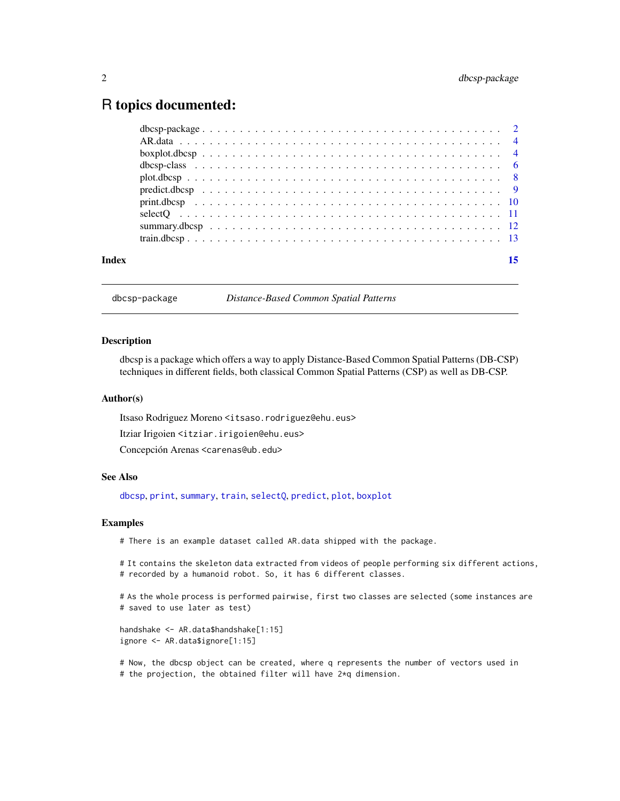### <span id="page-1-0"></span>R topics documented:

| Index |  |  |  |  |  |  |  |  |  |  |  |  |  |  |  |  |  |
|-------|--|--|--|--|--|--|--|--|--|--|--|--|--|--|--|--|--|
|       |  |  |  |  |  |  |  |  |  |  |  |  |  |  |  |  |  |
|       |  |  |  |  |  |  |  |  |  |  |  |  |  |  |  |  |  |
|       |  |  |  |  |  |  |  |  |  |  |  |  |  |  |  |  |  |
|       |  |  |  |  |  |  |  |  |  |  |  |  |  |  |  |  |  |
|       |  |  |  |  |  |  |  |  |  |  |  |  |  |  |  |  |  |
|       |  |  |  |  |  |  |  |  |  |  |  |  |  |  |  |  |  |
|       |  |  |  |  |  |  |  |  |  |  |  |  |  |  |  |  |  |
|       |  |  |  |  |  |  |  |  |  |  |  |  |  |  |  |  |  |
|       |  |  |  |  |  |  |  |  |  |  |  |  |  |  |  |  |  |
|       |  |  |  |  |  |  |  |  |  |  |  |  |  |  |  |  |  |

<span id="page-1-1"></span>dbcsp-package *Distance-Based Common Spatial Patterns*

#### Description

dbcsp is a package which offers a way to apply Distance-Based Common Spatial Patterns (DB-CSP) techniques in different fields, both classical Common Spatial Patterns (CSP) as well as DB-CSP.

#### Author(s)

Itsaso Rodriguez Moreno <itsaso.rodriguez@ehu.eus> Itziar Irigoien <itziar.irigoien@ehu.eus>

Concepción Arenas <carenas@ub.edu>

#### See Also

[dbcsp](#page-5-1), [print](#page-9-1), [summary](#page-11-1), [train](#page-12-1), [selectQ](#page-10-1), [predict](#page-8-1), [plot](#page-7-1), [boxplot](#page-3-1)

#### Examples

# There is an example dataset called AR.data shipped with the package.

# It contains the skeleton data extracted from videos of people performing six different actions, # recorded by a humanoid robot. So, it has 6 different classes.

# As the whole process is performed pairwise, first two classes are selected (some instances are # saved to use later as test)

handshake <- AR.data\$handshake[1:15] ignore <- AR.data\$ignore[1:15]

# Now, the dbcsp object can be created, where q represents the number of vectors used in # the projection, the obtained filter will have 2\*q dimension.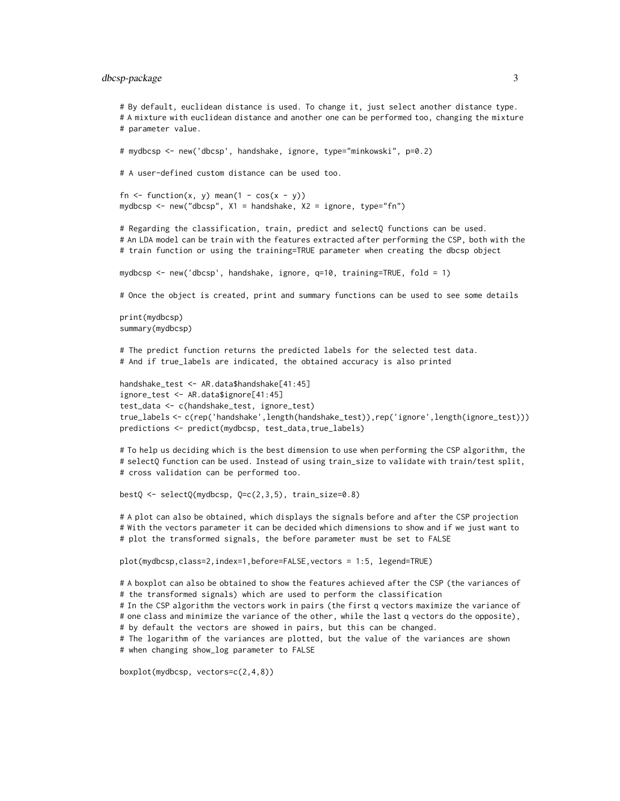#### dbcsp-package 3

# By default, euclidean distance is used. To change it, just select another distance type. # A mixture with euclidean distance and another one can be performed too, changing the mixture # parameter value. # mydbcsp <- new('dbcsp', handshake, ignore, type="minkowski", p=0.2) # A user-defined custom distance can be used too. fn  $\le$  function(x, y) mean(1 - cos(x - y)) mydbcsp <- new("dbcsp", X1 = handshake, X2 = ignore, type="fn") # Regarding the classification, train, predict and selectQ functions can be used. # An LDA model can be train with the features extracted after performing the CSP, both with the # train function or using the training=TRUE parameter when creating the dbcsp object mydbcsp <- new('dbcsp', handshake, ignore, q=10, training=TRUE, fold = 1) # Once the object is created, print and summary functions can be used to see some details print(mydbcsp) summary(mydbcsp) # The predict function returns the predicted labels for the selected test data. # And if true\_labels are indicated, the obtained accuracy is also printed handshake\_test <- AR.data\$handshake[41:45] ignore\_test <- AR.data\$ignore[41:45] test\_data <- c(handshake\_test, ignore\_test) true\_labels <- c(rep('handshake',length(handshake\_test)),rep('ignore',length(ignore\_test))) predictions <- predict(mydbcsp, test\_data,true\_labels) # To help us deciding which is the best dimension to use when performing the CSP algorithm, the # selectQ function can be used. Instead of using train\_size to validate with train/test split, # cross validation can be performed too. bestQ <- selectQ(mydbcsp, Q=c(2,3,5), train\_size=0.8) # A plot can also be obtained, which displays the signals before and after the CSP projection # With the vectors parameter it can be decided which dimensions to show and if we just want to # plot the transformed signals, the before parameter must be set to FALSE

plot(mydbcsp,class=2,index=1,before=FALSE,vectors = 1:5, legend=TRUE)

# A boxplot can also be obtained to show the features achieved after the CSP (the variances of # the transformed signals) which are used to perform the classification

# In the CSP algorithm the vectors work in pairs (the first q vectors maximize the variance of # one class and minimize the variance of the other, while the last q vectors do the opposite), # by default the vectors are showed in pairs, but this can be changed.

# The logarithm of the variances are plotted, but the value of the variances are shown # when changing show\_log parameter to FALSE

boxplot(mydbcsp, vectors=c(2,4,8))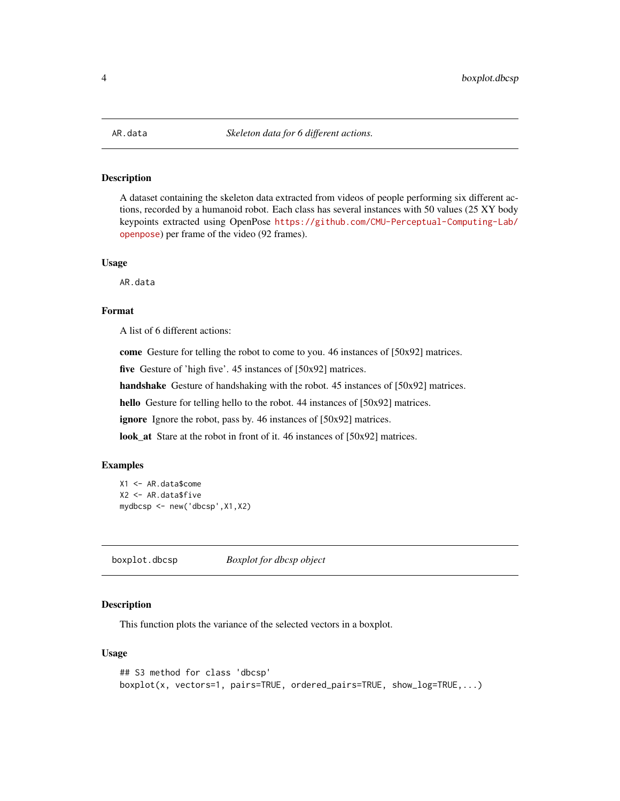<span id="page-3-0"></span>

#### Description

A dataset containing the skeleton data extracted from videos of people performing six different actions, recorded by a humanoid robot. Each class has several instances with 50 values (25 XY body keypoints extracted using OpenPose [https://github.com/CMU-Perceptual-Computing-Lab/](https://github.com/CMU-Perceptual-Computing-Lab/openpose) [openpose](https://github.com/CMU-Perceptual-Computing-Lab/openpose)) per frame of the video (92 frames).

#### Usage

AR.data

#### Format

A list of 6 different actions:

come Gesture for telling the robot to come to you. 46 instances of [50x92] matrices.

five Gesture of 'high five'. 45 instances of [50x92] matrices.

handshake Gesture of handshaking with the robot. 45 instances of [50x92] matrices.

hello Gesture for telling hello to the robot. 44 instances of [50x92] matrices.

ignore Ignore the robot, pass by. 46 instances of [50x92] matrices.

look\_at Stare at the robot in front of it. 46 instances of [50x92] matrices.

#### Examples

```
X1 <- AR.data$come
X2 <- AR.data$five
mydbcsp <- new('dbcsp',X1,X2)
```
<span id="page-3-1"></span>boxplot.dbcsp *Boxplot for dbcsp object*

#### Description

This function plots the variance of the selected vectors in a boxplot.

#### Usage

```
## S3 method for class 'dbcsp'
boxplot(x, vectors=1, pairs=TRUE, ordered_pairs=TRUE, show_log=TRUE,...)
```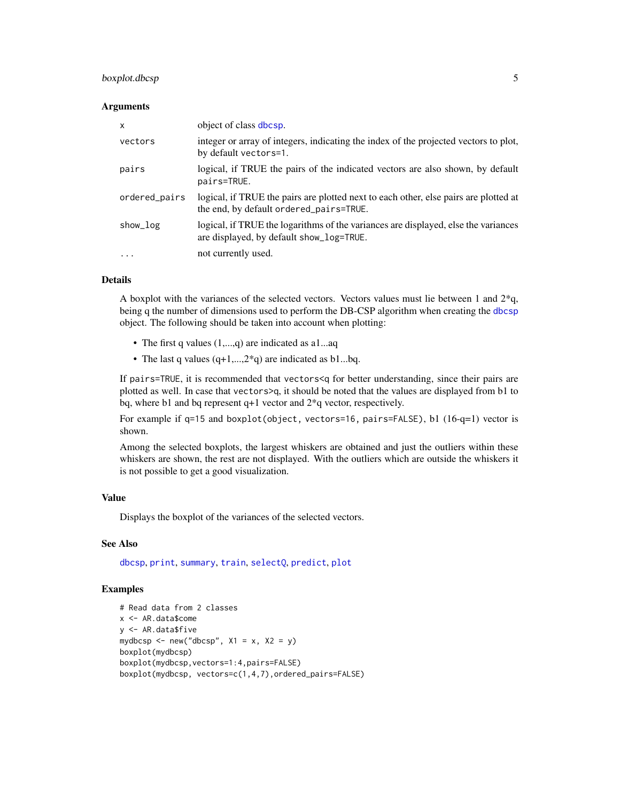#### <span id="page-4-0"></span>boxplot.dbcsp 5

#### **Arguments**

| $\mathsf{x}$  | object of class dbcsp.                                                                                                          |
|---------------|---------------------------------------------------------------------------------------------------------------------------------|
| vectors       | integer or array of integers, indicating the index of the projected vectors to plot,<br>by default vectors=1.                   |
| pairs         | logical, if TRUE the pairs of the indicated vectors are also shown, by default<br>pairs=TRUE.                                   |
| ordered_pairs | logical, if TRUE the pairs are plotted next to each other, else pairs are plotted at<br>the end, by default ordered_pairs=TRUE. |
| show_log      | logical, if TRUE the logarithms of the variances are displayed, else the variances<br>are displayed, by default show_log=TRUE.  |
| $\cdot$       | not currently used.                                                                                                             |

#### Details

A boxplot with the variances of the selected vectors. Vectors values must lie between 1 and 2\*q, being q the number of dimensions used to perform the DB-CSP algorithm when creating the [dbcsp](#page-5-1) object. The following should be taken into account when plotting:

- The first q values  $(1,...,q)$  are indicated as a l...aq
- The last q values  $(q+1,...,2^*q)$  are indicated as b1...bq.

If pairs=TRUE, it is recommended that vectors<q for better understanding, since their pairs are plotted as well. In case that vectors>q, it should be noted that the values are displayed from b1 to bq, where b1 and bq represent q+1 vector and 2\*q vector, respectively.

For example if q=15 and boxplot(object, vectors=16, pairs=FALSE), b1 (16-q=1) vector is shown.

Among the selected boxplots, the largest whiskers are obtained and just the outliers within these whiskers are shown, the rest are not displayed. With the outliers which are outside the whiskers it is not possible to get a good visualization.

#### Value

Displays the boxplot of the variances of the selected vectors.

#### See Also

[dbcsp](#page-5-1), [print](#page-9-1), [summary](#page-11-1), [train](#page-12-1), [selectQ](#page-10-1), [predict](#page-8-1), [plot](#page-7-1)

#### Examples

```
# Read data from 2 classes
x <- AR.data$come
y <- AR.data$five
mydbcsp <- new("dbcsp", X1 = x, X2 = y)
boxplot(mydbcsp)
boxplot(mydbcsp,vectors=1:4,pairs=FALSE)
boxplot(mydbcsp, vectors=c(1,4,7),ordered_pairs=FALSE)
```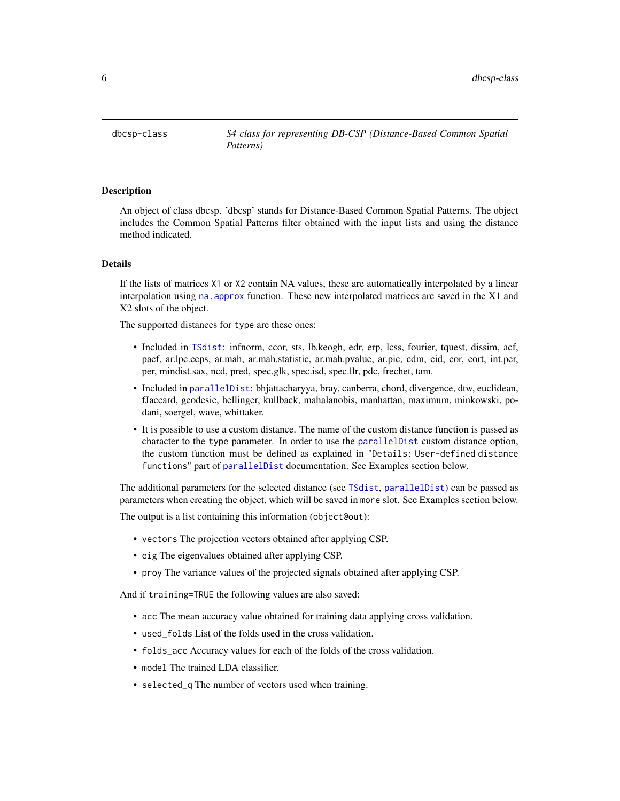<span id="page-5-1"></span><span id="page-5-0"></span>dbcsp-class *S4 class for representing DB-CSP (Distance-Based Common Spatial Patterns)*

#### **Description**

An object of class dbcsp. 'dbcsp' stands for Distance-Based Common Spatial Patterns. The object includes the Common Spatial Patterns filter obtained with the input lists and using the distance method indicated.

#### Details

If the lists of matrices X1 or X2 contain NA values, these are automatically interpolated by a linear interpolation using na. approx function. These new interpolated matrices are saved in the  $X1$  and X2 slots of the object.

The supported distances for type are these ones:

- Included in [TSdist](#page-0-0): infnorm, ccor, sts, lb.keogh, edr, erp, lcss, fourier, tquest, dissim, acf, pacf, ar.lpc.ceps, ar.mah, ar.mah.statistic, ar.mah.pvalue, ar.pic, cdm, cid, cor, cort, int.per, per, mindist.sax, ncd, pred, spec.glk, spec.isd, spec.llr, pdc, frechet, tam.
- Included in [parallelDist](#page-0-0): bhjattacharyya, bray, canberra, chord, divergence, dtw, euclidean, fJaccard, geodesic, hellinger, kullback, mahalanobis, manhattan, maximum, minkowski, podani, soergel, wave, whittaker.
- It is possible to use a custom distance. The name of the custom distance function is passed as character to the type parameter. In order to use the [parallelDist](#page-0-0) custom distance option, the custom function must be defined as explained in "Details: User-defined distance functions" part of [parallelDist](#page-0-0) documentation. See Examples section below.

The additional parameters for the selected distance (see [TSdist](#page-0-0), [parallelDist](#page-0-0)) can be passed as parameters when creating the object, which will be saved in more slot. See Examples section below.

The output is a list containing this information (object@out):

- vectors The projection vectors obtained after applying CSP.
- eig The eigenvalues obtained after applying CSP.
- proy The variance values of the projected signals obtained after applying CSP.

And if training=TRUE the following values are also saved:

- acc The mean accuracy value obtained for training data applying cross validation.
- used\_folds List of the folds used in the cross validation.
- folds\_acc Accuracy values for each of the folds of the cross validation.
- model The trained LDA classifier.
- selected\_q The number of vectors used when training.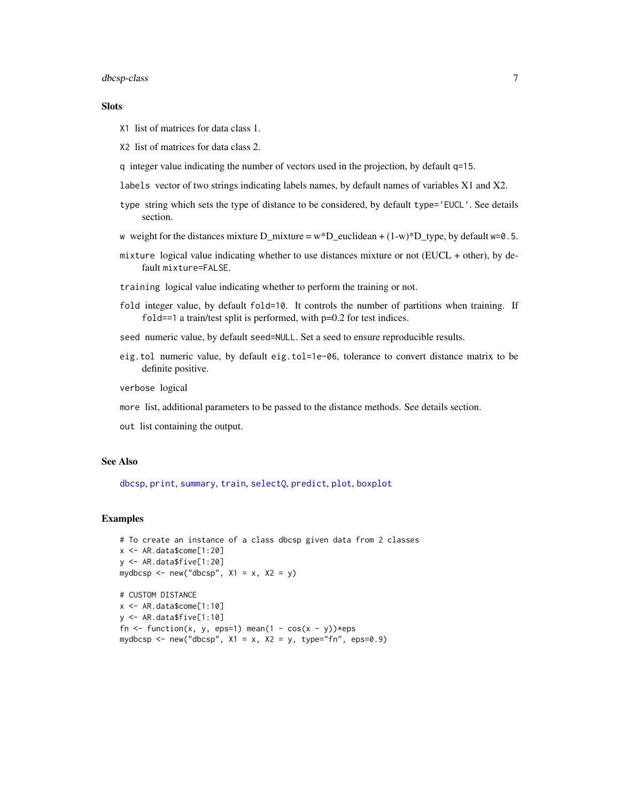#### <span id="page-6-0"></span>dbcsp-class 7

#### **Slots**

- X1 list of matrices for data class 1.
- X2 list of matrices for data class 2.
- q integer value indicating the number of vectors used in the projection, by default q=15.
- labels vector of two strings indicating labels names, by default names of variables X1 and X2.
- type string which sets the type of distance to be considered, by default type='EUCL'. See details section.
- w weight for the distances mixture D\_mixture =  $w^*D$ \_euclidean + (1-w)\*D\_type, by default w=0.5.
- mixture logical value indicating whether to use distances mixture or not (EUCL + other), by default mixture=FALSE.
- training logical value indicating whether to perform the training or not.
- fold integer value, by default fold=10. It controls the number of partitions when training. If fold==1 a train/test split is performed, with p=0.2 for test indices.
- seed numeric value, by default seed=NULL. Set a seed to ensure reproducible results.
- eig.tol numeric value, by default eig.tol=1e-06, tolerance to convert distance matrix to be definite positive.

verbose logical

- more list, additional parameters to be passed to the distance methods. See details section.
- out list containing the output.

#### See Also

[dbcsp](#page-1-1), [print](#page-9-1), [summary](#page-11-1), [train](#page-12-1), [selectQ](#page-10-1), [predict](#page-8-1), [plot](#page-7-1), [boxplot](#page-3-1)

#### **Examples**

```
# To create an instance of a class dbcsp given data from 2 classes
x <- AR.data$come[1:20]
y <- AR.data$five[1:20]
mydbcsp <- new("dbcsp", x1 = x, x2 = y)
```

```
# CUSTOM DISTANCE
x <- AR.data$come[1:10]
y <- AR.data$five[1:10]
fn <- function(x, y, eps=1) mean(1 - cos(x - y))*eps
mydbcsp <- new("dbcsp", X1 = x, X2 = y, type="fn", eps=0.9)
```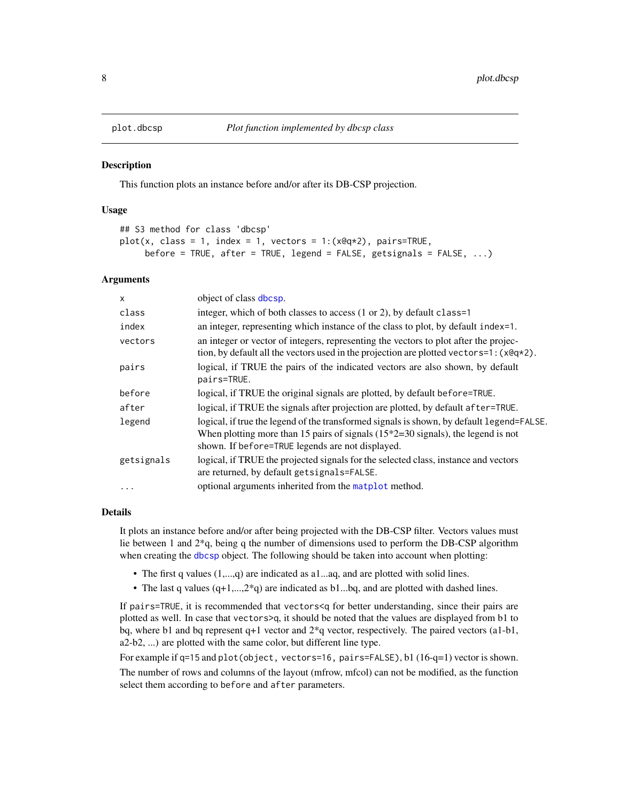<span id="page-7-1"></span><span id="page-7-0"></span>

#### **Description**

This function plots an instance before and/or after its DB-CSP projection.

#### Usage

```
## S3 method for class 'dbcsp'
plot(x, class = 1, index = 1, vectors = 1:(x@q*2), pairs=TRUE,before = TRUE, after = TRUE, legend = FALSE, getsignals = FALSE, ...)
```
#### Arguments

| $\mathsf{x}$ | object of class dbcsp.                                                                                                                                                                                                               |
|--------------|--------------------------------------------------------------------------------------------------------------------------------------------------------------------------------------------------------------------------------------|
| class        | integer, which of both classes to access (1 or 2), by default class=1                                                                                                                                                                |
| index        | an integer, representing which instance of the class to plot, by default index=1.                                                                                                                                                    |
| vectors      | an integer or vector of integers, representing the vectors to plot after the projec-<br>tion, by default all the vectors used in the projection are plotted vectors=1: $(x@q*2)$ .                                                   |
| pairs        | logical, if TRUE the pairs of the indicated vectors are also shown, by default<br>pairs=TRUE.                                                                                                                                        |
| before       | logical, if TRUE the original signals are plotted, by default before=TRUE.                                                                                                                                                           |
| after        | logical, if TRUE the signals after projection are plotted, by default after=TRUE.                                                                                                                                                    |
| legend       | logical, if true the legend of the transformed signals is shown, by default legend=FALSE.<br>When plotting more than 15 pairs of signals $(15*2=30)$ signals), the legend is not<br>shown. If before=TRUE legends are not displayed. |
| getsignals   | logical, if TRUE the projected signals for the selected class, instance and vectors<br>are returned, by default getsignals=FALSE.                                                                                                    |
|              | optional arguments inherited from the matplot method.                                                                                                                                                                                |
|              |                                                                                                                                                                                                                                      |

#### Details

It plots an instance before and/or after being projected with the DB-CSP filter. Vectors values must lie between 1 and 2\*q, being q the number of dimensions used to perform the DB-CSP algorithm when creating the [dbcsp](#page-5-1) object. The following should be taken into account when plotting:

- The first q values  $(1,...,q)$  are indicated as a1...aq, and are plotted with solid lines.
- The last q values  $(q+1,...,2^kq)$  are indicated as b1...bq, and are plotted with dashed lines.

If pairs=TRUE, it is recommended that vectors<q for better understanding, since their pairs are plotted as well. In case that vectors>q, it should be noted that the values are displayed from b1 to bq, where b1 and bq represent q+1 vector and 2\*q vector, respectively. The paired vectors (a1-b1, a2-b2, ...) are plotted with the same color, but different line type.

For example if q=15 and plot(object, vectors=16, pairs=FALSE), b1 (16-q=1) vector is shown. The number of rows and columns of the layout (mfrow, mfcol) can not be modified, as the function select them according to before and after parameters.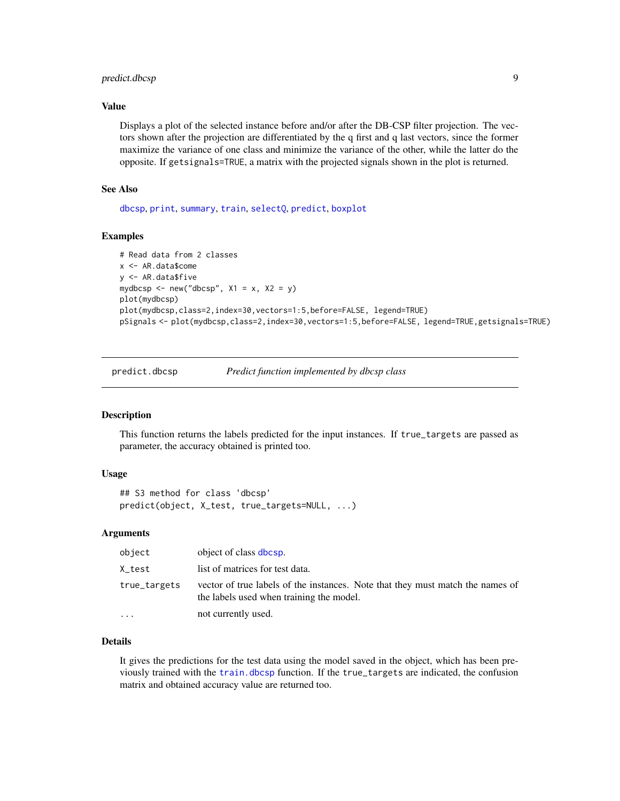#### <span id="page-8-0"></span>predict.dbcsp 9

#### Value

Displays a plot of the selected instance before and/or after the DB-CSP filter projection. The vectors shown after the projection are differentiated by the q first and q last vectors, since the former maximize the variance of one class and minimize the variance of the other, while the latter do the opposite. If getsignals=TRUE, a matrix with the projected signals shown in the plot is returned.

#### See Also

[dbcsp](#page-5-1), [print](#page-9-1), [summary](#page-11-1), [train](#page-12-1), [selectQ](#page-10-1), [predict](#page-8-1), [boxplot](#page-3-1)

#### Examples

```
# Read data from 2 classes
x <- AR.data$come
y <- AR.data$five
mydbcsp <- new("dbcsp", X1 = x, X2 = y)
plot(mydbcsp)
plot(mydbcsp,class=2,index=30,vectors=1:5,before=FALSE, legend=TRUE)
pSignals <- plot(mydbcsp,class=2,index=30,vectors=1:5,before=FALSE, legend=TRUE,getsignals=TRUE)
```
<span id="page-8-1"></span>predict.dbcsp *Predict function implemented by dbcsp class*

#### Description

This function returns the labels predicted for the input instances. If true\_targets are passed as parameter, the accuracy obtained is printed too.

#### Usage

```
## S3 method for class 'dbcsp'
predict(object, X_test, true_targets=NULL, ...)
```
#### Arguments

| object       | object of class dbcsp.                                                                                                     |
|--------------|----------------------------------------------------------------------------------------------------------------------------|
| X_test       | list of matrices for test data.                                                                                            |
| true_targets | vector of true labels of the instances. Note that they must match the names of<br>the labels used when training the model. |
| $\ddotsc$    | not currently used.                                                                                                        |

#### Details

It gives the predictions for the test data using the model saved in the object, which has been previously trained with the [train.dbcsp](#page-12-1) function. If the true\_targets are indicated, the confusion matrix and obtained accuracy value are returned too.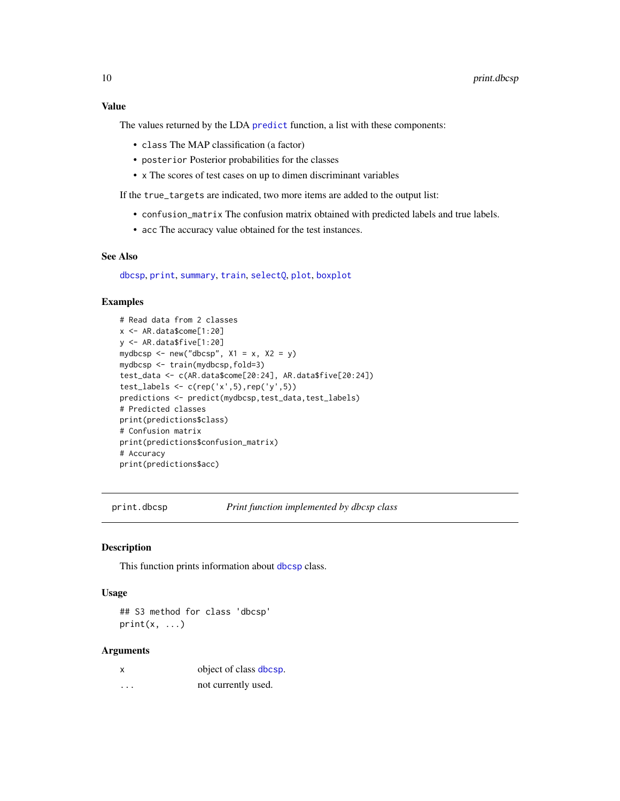<span id="page-9-0"></span>The values returned by the LDA [predict](#page-0-0) function, a list with these components:

- class The MAP classification (a factor)
- posterior Posterior probabilities for the classes
- x The scores of test cases on up to dimen discriminant variables

If the true\_targets are indicated, two more items are added to the output list:

- confusion\_matrix The confusion matrix obtained with predicted labels and true labels.
- acc The accuracy value obtained for the test instances.

#### See Also

[dbcsp](#page-5-1), [print](#page-9-1), [summary](#page-11-1), [train](#page-12-1), [selectQ](#page-10-1), [plot](#page-7-1), [boxplot](#page-3-1)

#### Examples

```
# Read data from 2 classes
x <- AR.data$come[1:20]
y <- AR.data$five[1:20]
mydbcsp <- new("dbcsp", X1 = x, X2 = y)
mydbcsp <- train(mydbcsp,fold=3)
test_data <- c(AR.data$come[20:24], AR.data$five[20:24])
test_labels <- c(rep('x',5),rep('y',5))predictions <- predict(mydbcsp,test_data,test_labels)
# Predicted classes
print(predictions$class)
# Confusion matrix
print(predictions$confusion_matrix)
# Accuracy
print(predictions$acc)
```
<span id="page-9-1"></span>

print.dbcsp *Print function implemented by dbcsp class*

#### Description

This function prints information about [dbcsp](#page-5-1) class.

#### Usage

## S3 method for class 'dbcsp'  $print(x, \ldots)$ 

#### Arguments

| x | object of class dbcsp. |
|---|------------------------|
| . | not currently used.    |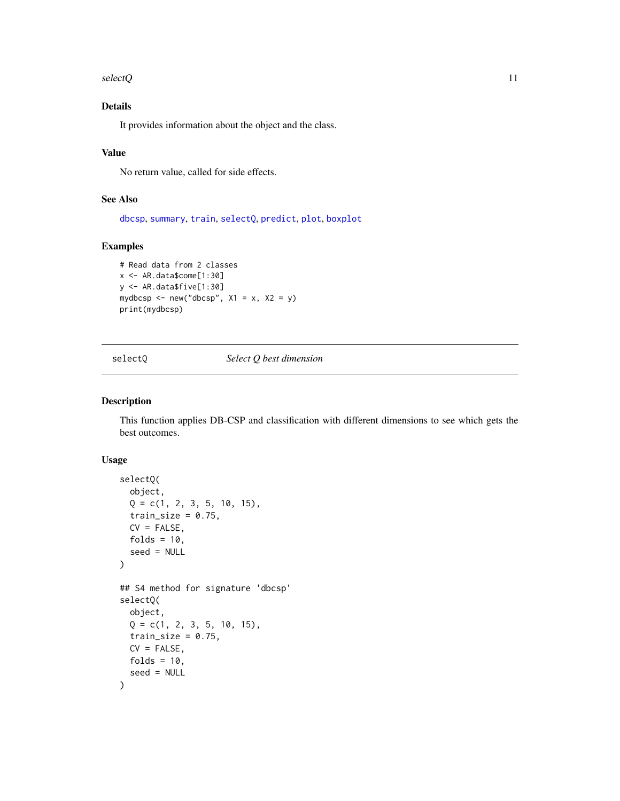<span id="page-10-0"></span> $s$ electQ  $11$ 

#### Details

It provides information about the object and the class.

#### Value

No return value, called for side effects.

#### See Also

[dbcsp](#page-5-1), [summary](#page-11-1), [train](#page-12-1), [selectQ](#page-10-1), [predict](#page-8-1), [plot](#page-7-1), [boxplot](#page-3-1)

#### Examples

```
# Read data from 2 classes
x <- AR.data$come[1:30]
y <- AR.data$five[1:30]
mydbcsp <- new("dbcsp", X1 = x, X2 = y)
print(mydbcsp)
```
#### <span id="page-10-1"></span>selectQ *Select Q best dimension*

#### Description

This function applies DB-CSP and classification with different dimensions to see which gets the best outcomes.

#### Usage

```
selectQ(
 object,
 Q = c(1, 2, 3, 5, 10, 15),
 train_size = 0.75,
 CV = FALSE,folds = 10,
 seed = NULL
)
## S4 method for signature 'dbcsp'
selectQ(
 object,
 Q = c(1, 2, 3, 5, 10, 15),
 train_size = 0.75,
 CV = FALSE,folds = 10,
  seed = NULL
)
```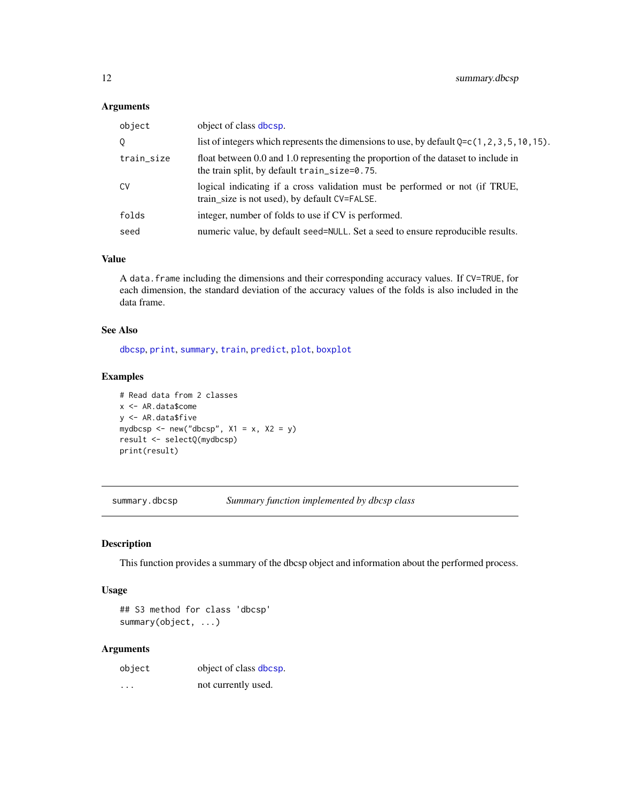#### <span id="page-11-0"></span>Arguments

| object of class dbcsp.                                                                                                                 |
|----------------------------------------------------------------------------------------------------------------------------------------|
| list of integers which represents the dimensions to use, by default $Q = c(1, 2, 3, 5, 10, 15)$ .                                      |
| float between 0.0 and 1.0 representing the proportion of the dataset to include in<br>the train split, by default $train\_size=0.75$ . |
| logical indicating if a cross validation must be performed or not (if TRUE,<br>train_size is not used), by default CV=FALSE.           |
| integer, number of folds to use if CV is performed.                                                                                    |
| numeric value, by default seed=NULL. Set a seed to ensure reproducible results.                                                        |
|                                                                                                                                        |

#### Value

A data.frame including the dimensions and their corresponding accuracy values. If CV=TRUE, for each dimension, the standard deviation of the accuracy values of the folds is also included in the data frame.

#### See Also

[dbcsp](#page-5-1), [print](#page-9-1), [summary](#page-11-1), [train](#page-12-1), [predict](#page-8-1), [plot](#page-7-1), [boxplot](#page-3-1)

#### Examples

```
# Read data from 2 classes
x <- AR.data$come
y <- AR.data$five
mydbcsp <- new("dbcsp", X1 = x, X2 = y)
result <- selectQ(mydbcsp)
print(result)
```
<span id="page-11-1"></span>summary.dbcsp *Summary function implemented by dbcsp class*

#### Description

This function provides a summary of the dbcsp object and information about the performed process.

#### Usage

## S3 method for class 'dbcsp' summary(object, ...)

#### Arguments

| object   | object of class dbcsp. |
|----------|------------------------|
| $\cdots$ | not currently used.    |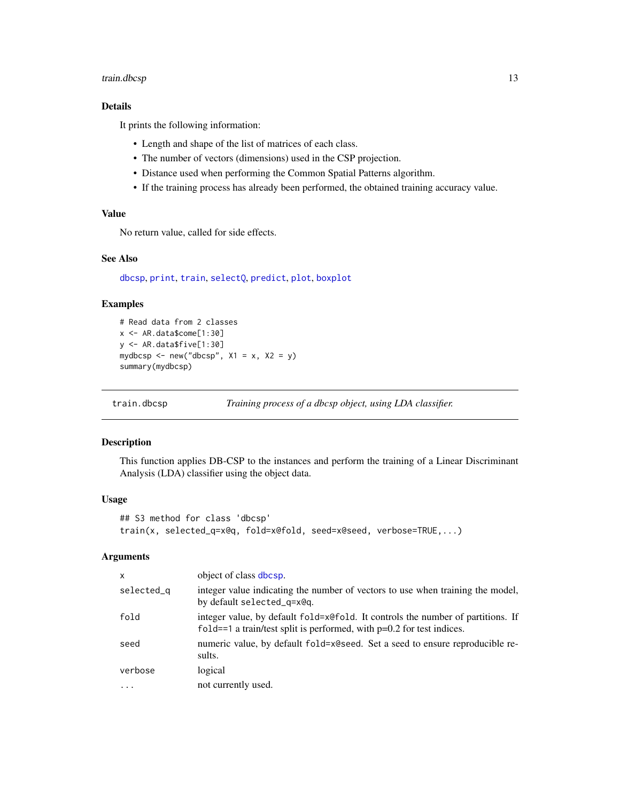#### <span id="page-12-0"></span>train.dbcsp 13

#### Details

It prints the following information:

- Length and shape of the list of matrices of each class.
- The number of vectors (dimensions) used in the CSP projection.
- Distance used when performing the Common Spatial Patterns algorithm.
- If the training process has already been performed, the obtained training accuracy value.

#### Value

No return value, called for side effects.

#### See Also

[dbcsp](#page-5-1), [print](#page-9-1), [train](#page-12-1), [selectQ](#page-10-1), [predict](#page-8-1), [plot](#page-7-1), [boxplot](#page-3-1)

#### Examples

```
# Read data from 2 classes
x <- AR.data$come[1:30]
y <- AR.data$five[1:30]
mydbcsp <- new("dbcsp", X1 = x, X2 = y)
summary(mydbcsp)
```
<span id="page-12-1"></span>train.dbcsp *Training process of a dbcsp object, using LDA classifier.*

#### Description

This function applies DB-CSP to the instances and perform the training of a Linear Discriminant Analysis (LDA) classifier using the object data.

#### Usage

```
## S3 method for class 'dbcsp'
train(x, selected_q=x@q, fold=x@fold, seed=x@seed, verbose=TRUE,...)
```
#### Arguments

| X          | object of class dbcsp.                                                                                                                                     |
|------------|------------------------------------------------------------------------------------------------------------------------------------------------------------|
| selected_q | integer value indicating the number of vectors to use when training the model,<br>by default selected_g=x@g.                                               |
| fold       | integer value, by default fold=x@fold. It controls the number of partitions. If<br>fold==1 a train/test split is performed, with $p=0.2$ for test indices. |
| seed       | numeric value, by default fold=x@seed. Set a seed to ensure reproducible re-<br>sults.                                                                     |
| verbose    | logical                                                                                                                                                    |
| $\cdots$   | not currently used.                                                                                                                                        |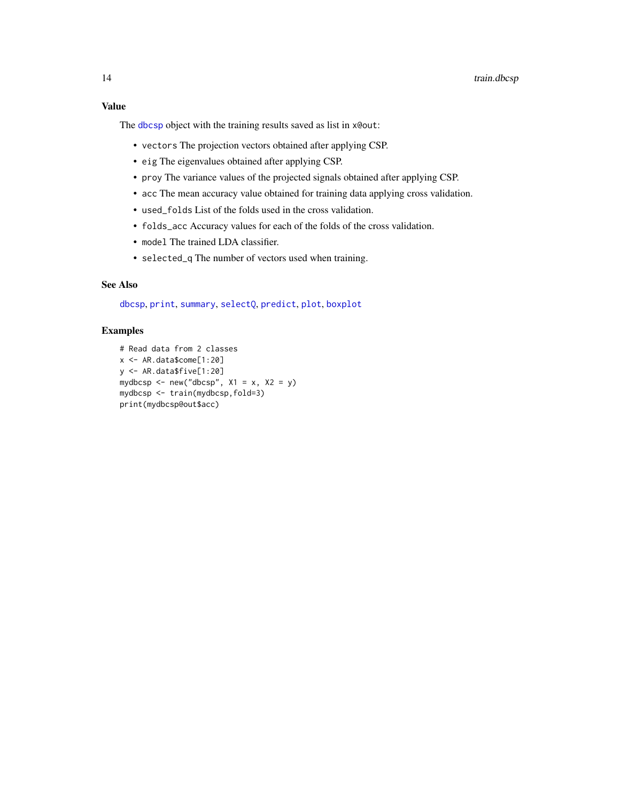#### <span id="page-13-0"></span>Value

The [dbcsp](#page-5-1) object with the training results saved as list in x@out:

- vectors The projection vectors obtained after applying CSP.
- eig The eigenvalues obtained after applying CSP.
- proy The variance values of the projected signals obtained after applying CSP.
- acc The mean accuracy value obtained for training data applying cross validation.
- used\_folds List of the folds used in the cross validation.
- folds\_acc Accuracy values for each of the folds of the cross validation.
- model The trained LDA classifier.
- selected\_q The number of vectors used when training.

#### See Also

[dbcsp](#page-5-1), [print](#page-9-1), [summary](#page-11-1), [selectQ](#page-10-1), [predict](#page-8-1), [plot](#page-7-1), [boxplot](#page-3-1)

#### Examples

```
# Read data from 2 classes
x <- AR.data$come[1:20]
y <- AR.data$five[1:20]
mydbcsp <- new("dbcsp", X1 = x, X2 = y)
mydbcsp <- train(mydbcsp,fold=3)
print(mydbcsp@out$acc)
```